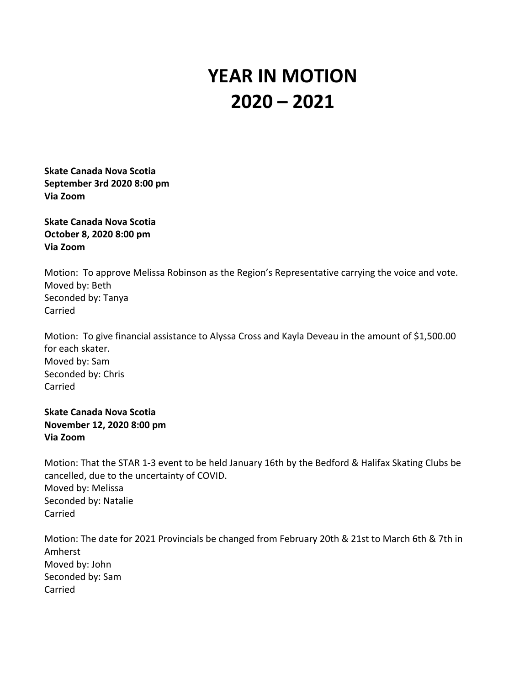## **YEAR IN MOTION 2020 – 2021**

**Skate Canada Nova Scotia September 3rd 2020 8:00 pm Via Zoom**

**Skate Canada Nova Scotia October 8, 2020 8:00 pm Via Zoom**

Motion: To approve Melissa Robinson as the Region's Representative carrying the voice and vote. Moved by: Beth Seconded by: Tanya Carried

Motion: To give financial assistance to Alyssa Cross and Kayla Deveau in the amount of \$1,500.00 for each skater. Moved by: Sam Seconded by: Chris Carried

**Skate Canada Nova Scotia November 12, 2020 8:00 pm Via Zoom**

Motion: That the STAR 1-3 event to be held January 16th by the Bedford & Halifax Skating Clubs be cancelled, due to the uncertainty of COVID. Moved by: Melissa Seconded by: Natalie Carried

Motion: The date for 2021 Provincials be changed from February 20th & 21st to March 6th & 7th in Amherst Moved by: John Seconded by: Sam Carried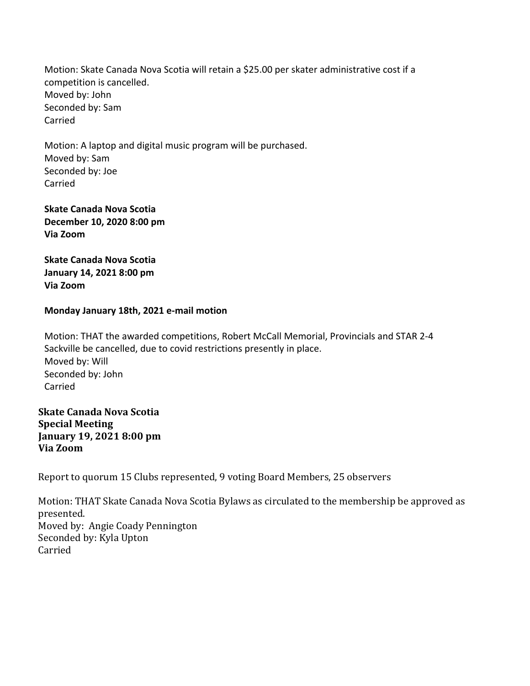Motion: Skate Canada Nova Scotia will retain a \$25.00 per skater administrative cost if a competition is cancelled. Moved by: John Seconded by: Sam Carried

Motion: A laptop and digital music program will be purchased. Moved by: Sam Seconded by: Joe Carried

**Skate Canada Nova Scotia December 10, 2020 8:00 pm Via Zoom**

**Skate Canada Nova Scotia January 14, 2021 8:00 pm Via Zoom**

## **Monday January 18th, 2021 e-mail motion**

Motion: THAT the awarded competitions, Robert McCall Memorial, Provincials and STAR 2-4 Sackville be cancelled, due to covid restrictions presently in place. Moved by: Will Seconded by: John Carried

**Skate Canada Nova Scotia Special Meeting January 19, 2021 8:00 pm Via Zoom**

Report to quorum 15 Clubs represented, 9 voting Board Members, 25 observers

Motion: THAT Skate Canada Nova Scotia Bylaws as circulated to the membership be approved as presented. Moved by: Angie Coady Pennington Seconded by: Kyla Upton Carried